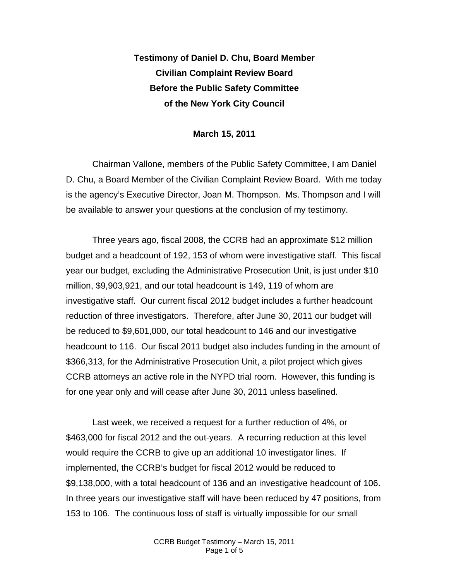**Testimony of Daniel D. Chu, Board Member Civilian Complaint Review Board Before the Public Safety Committee of the New York City Council** 

## **March 15, 2011**

Chairman Vallone, members of the Public Safety Committee, I am Daniel D. Chu, a Board Member of the Civilian Complaint Review Board. With me today is the agency's Executive Director, Joan M. Thompson. Ms. Thompson and I will be available to answer your questions at the conclusion of my testimony.

Three years ago, fiscal 2008, the CCRB had an approximate \$12 million budget and a headcount of 192, 153 of whom were investigative staff. This fiscal year our budget, excluding the Administrative Prosecution Unit, is just under \$10 million, \$9,903,921, and our total headcount is 149, 119 of whom are investigative staff. Our current fiscal 2012 budget includes a further headcount reduction of three investigators. Therefore, after June 30, 2011 our budget will be reduced to \$9,601,000, our total headcount to 146 and our investigative headcount to 116. Our fiscal 2011 budget also includes funding in the amount of \$366,313, for the Administrative Prosecution Unit, a pilot project which gives CCRB attorneys an active role in the NYPD trial room. However, this funding is for one year only and will cease after June 30, 2011 unless baselined.

Last week, we received a request for a further reduction of 4%, or \$463,000 for fiscal 2012 and the out-years. A recurring reduction at this level would require the CCRB to give up an additional 10 investigator lines. If implemented, the CCRB's budget for fiscal 2012 would be reduced to \$9,138,000, with a total headcount of 136 and an investigative headcount of 106. In three years our investigative staff will have been reduced by 47 positions, from 153 to 106.The continuous loss of staff is virtually impossible for our small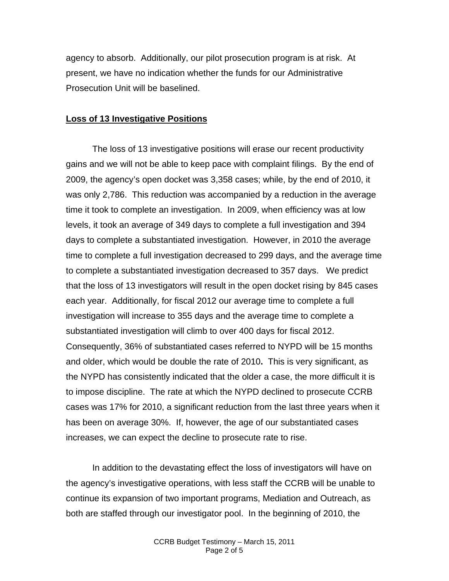agency to absorb. Additionally, our pilot prosecution program is at risk. At present, we have no indication whether the funds for our Administrative Prosecution Unit will be baselined.

## **Loss of 13 Investigative Positions**

The loss of 13 investigative positions will erase our recent productivity gains and we will not be able to keep pace with complaint filings. By the end of 2009, the agency's open docket was 3,358 cases; while, by the end of 2010, it was only 2,786. This reduction was accompanied by a reduction in the average time it took to complete an investigation. In 2009, when efficiency was at low levels, it took an average of 349 days to complete a full investigation and 394 days to complete a substantiated investigation. However, in 2010 the average time to complete a full investigation decreased to 299 days, and the average time to complete a substantiated investigation decreased to 357 days. We predict that the loss of 13 investigators will result in the open docket rising by 845 cases each year. Additionally, for fiscal 2012 our average time to complete a full investigation will increase to 355 days and the average time to complete a substantiated investigation will climb to over 400 days for fiscal 2012. Consequently, 36% of substantiated cases referred to NYPD will be 15 months and older, which would be double the rate of 2010**.** This is very significant, as the NYPD has consistently indicated that the older a case, the more difficult it is to impose discipline. The rate at which the NYPD declined to prosecute CCRB cases was 17% for 2010, a significant reduction from the last three years when it has been on average 30%. If, however, the age of our substantiated cases increases, we can expect the decline to prosecute rate to rise.

In addition to the devastating effect the loss of investigators will have on the agency's investigative operations, with less staff the CCRB will be unable to continue its expansion of two important programs, Mediation and Outreach, as both are staffed through our investigator pool. In the beginning of 2010, the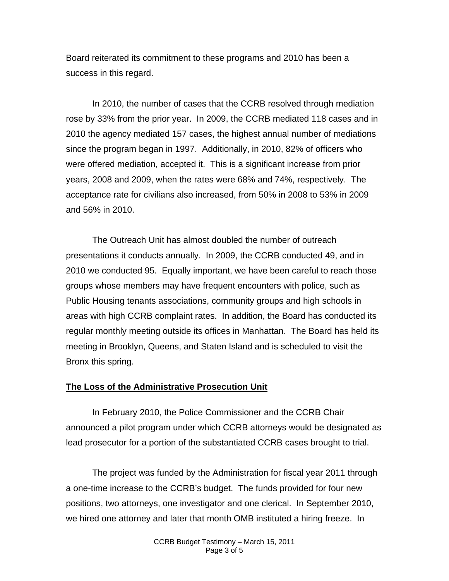Board reiterated its commitment to these programs and 2010 has been a success in this regard.

In 2010, the number of cases that the CCRB resolved through mediation rose by 33% from the prior year. In 2009, the CCRB mediated 118 cases and in 2010 the agency mediated 157 cases, the highest annual number of mediations since the program began in 1997. Additionally, in 2010, 82% of officers who were offered mediation, accepted it. This is a significant increase from prior years, 2008 and 2009, when the rates were 68% and 74%, respectively. The acceptance rate for civilians also increased, from 50% in 2008 to 53% in 2009 and 56% in 2010.

The Outreach Unit has almost doubled the number of outreach presentations it conducts annually. In 2009, the CCRB conducted 49, and in 2010 we conducted 95. Equally important, we have been careful to reach those groups whose members may have frequent encounters with police, such as Public Housing tenants associations, community groups and high schools in areas with high CCRB complaint rates. In addition, the Board has conducted its regular monthly meeting outside its offices in Manhattan. The Board has held its meeting in Brooklyn, Queens, and Staten Island and is scheduled to visit the Bronx this spring.

## **The Loss of the Administrative Prosecution Unit**

In February 2010, the Police Commissioner and the CCRB Chair announced a pilot program under which CCRB attorneys would be designated as lead prosecutor for a portion of the substantiated CCRB cases brought to trial.

The project was funded by the Administration for fiscal year 2011 through a one-time increase to the CCRB's budget. The funds provided for four new positions, two attorneys, one investigator and one clerical. In September 2010, we hired one attorney and later that month OMB instituted a hiring freeze. In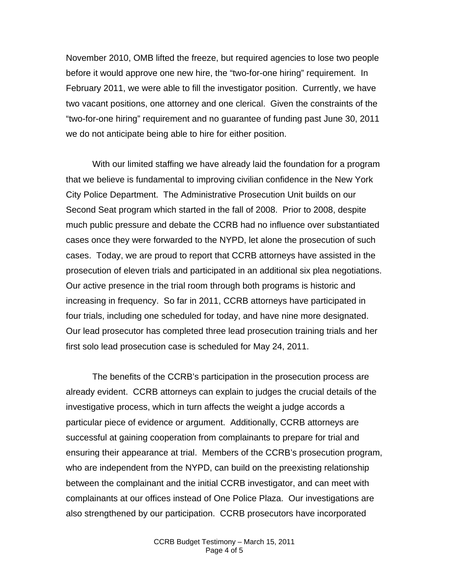November 2010, OMB lifted the freeze, but required agencies to lose two people before it would approve one new hire, the "two-for-one hiring" requirement. In February 2011, we were able to fill the investigator position. Currently, we have two vacant positions, one attorney and one clerical. Given the constraints of the "two-for-one hiring" requirement and no guarantee of funding past June 30, 2011 we do not anticipate being able to hire for either position.

With our limited staffing we have already laid the foundation for a program that we believe is fundamental to improving civilian confidence in the New York City Police Department. The Administrative Prosecution Unit builds on our Second Seat program which started in the fall of 2008. Prior to 2008, despite much public pressure and debate the CCRB had no influence over substantiated cases once they were forwarded to the NYPD, let alone the prosecution of such cases. Today, we are proud to report that CCRB attorneys have assisted in the prosecution of eleven trials and participated in an additional six plea negotiations. Our active presence in the trial room through both programs is historic and increasing in frequency. So far in 2011, CCRB attorneys have participated in four trials, including one scheduled for today, and have nine more designated. Our lead prosecutor has completed three lead prosecution training trials and her first solo lead prosecution case is scheduled for May 24, 2011.

The benefits of the CCRB's participation in the prosecution process are already evident. CCRB attorneys can explain to judges the crucial details of the investigative process, which in turn affects the weight a judge accords a particular piece of evidence or argument. Additionally, CCRB attorneys are successful at gaining cooperation from complainants to prepare for trial and ensuring their appearance at trial. Members of the CCRB's prosecution program, who are independent from the NYPD, can build on the preexisting relationship between the complainant and the initial CCRB investigator, and can meet with complainants at our offices instead of One Police Plaza. Our investigations are also strengthened by our participation. CCRB prosecutors have incorporated